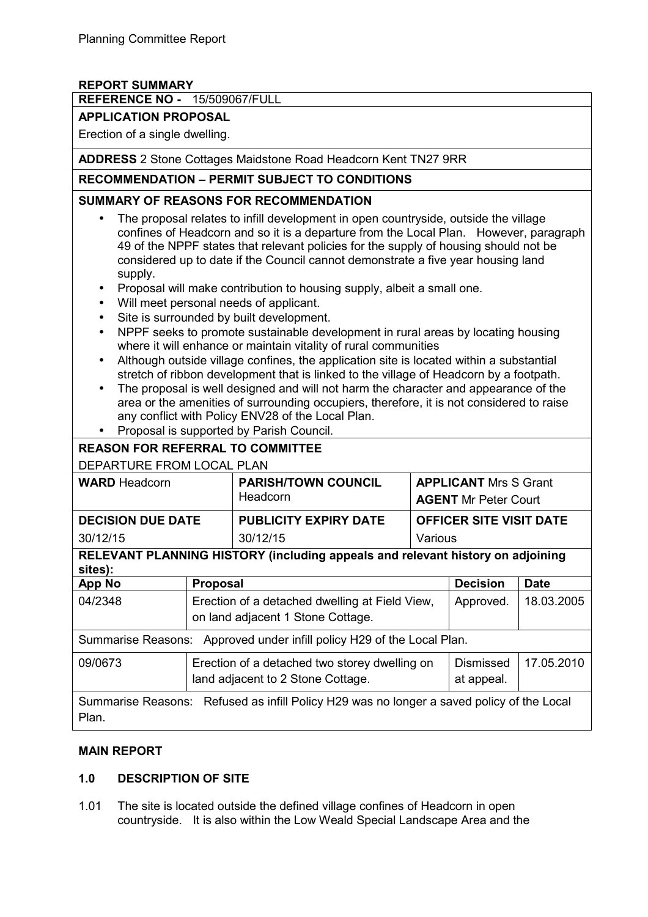### **REPORT SUMMARY**

#### **REFERENCE NO -** 15/509067/FULL

#### **APPLICATION PROPOSAL**

Erection of a single dwelling.

**ADDRESS** 2 Stone Cottages Maidstone Road Headcorn Kent TN27 9RR

#### **RECOMMENDATION – PERMIT SUBJECT TO CONDITIONS**

#### **SUMMARY OF REASONS FOR RECOMMENDATION**

- The proposal relates to infill development in open countryside, outside the village confines of Headcorn and so it is a departure from the Local Plan. However, paragraph 49 of the NPPF states that relevant policies for the supply of housing should not be considered up to date if the Council cannot demonstrate a five year housing land supply.
- Proposal will make contribution to housing supply, albeit a small one.
- Will meet personal needs of applicant.
- Site is surrounded by built development.
- NPPF seeks to promote sustainable development in rural areas by locating housing where it will enhance or maintain vitality of rural communities
- Although outside village confines, the application site is located within a substantial stretch of ribbon development that is linked to the village of Headcorn by a footpath.
- The proposal is well designed and will not harm the character and appearance of the area or the amenities of surrounding occupiers, therefore, it is not considered to raise any conflict with Policy ENV28 of the Local Plan.
- Proposal is supported by Parish Council.

| <b>REASON FOR REFERRAL TO COMMITTEE</b>                                                            |                                                                                    |                                                                                     |                                                             |                         |             |  |  |
|----------------------------------------------------------------------------------------------------|------------------------------------------------------------------------------------|-------------------------------------------------------------------------------------|-------------------------------------------------------------|-------------------------|-------------|--|--|
| DEPARTURE FROM LOCAL PLAN                                                                          |                                                                                    |                                                                                     |                                                             |                         |             |  |  |
| <b>WARD</b> Headcorn                                                                               |                                                                                    | <b>PARISH/TOWN COUNCIL</b><br>Headcorn                                              | <b>APPLICANT</b> Mrs S Grant<br><b>AGENT Mr Peter Court</b> |                         |             |  |  |
| <b>DECISION DUE DATE</b>                                                                           |                                                                                    | <b>PUBLICITY EXPIRY DATE</b>                                                        | <b>OFFICER SITE VISIT DATE</b>                              |                         |             |  |  |
| 30/12/15                                                                                           |                                                                                    | 30/12/15                                                                            | Various                                                     |                         |             |  |  |
| RELEVANT PLANNING HISTORY (including appeals and relevant history on adjoining<br>sites):          |                                                                                    |                                                                                     |                                                             |                         |             |  |  |
| <b>App No</b>                                                                                      | <b>Proposal</b>                                                                    |                                                                                     |                                                             | <b>Decision</b>         | <b>Date</b> |  |  |
| 04/2348                                                                                            |                                                                                    | Erection of a detached dwelling at Field View,<br>on land adjacent 1 Stone Cottage. | Approved.                                                   | 18.03.2005              |             |  |  |
| Summarise Reasons: Approved under infill policy H29 of the Local Plan.                             |                                                                                    |                                                                                     |                                                             |                         |             |  |  |
| 09/0673                                                                                            | Erection of a detached two storey dwelling on<br>land adjacent to 2 Stone Cottage. |                                                                                     |                                                             | Dismissed<br>at appeal. | 17.05.2010  |  |  |
| Summarise Reasons: Refused as infill Policy H29 was no longer a saved policy of the Local<br>Plan. |                                                                                    |                                                                                     |                                                             |                         |             |  |  |

#### **MAIN REPORT**

#### **1.0 DESCRIPTION OF SITE**

1.01 The site is located outside the defined village confines of Headcorn in open countryside. It is also within the Low Weald Special Landscape Area and the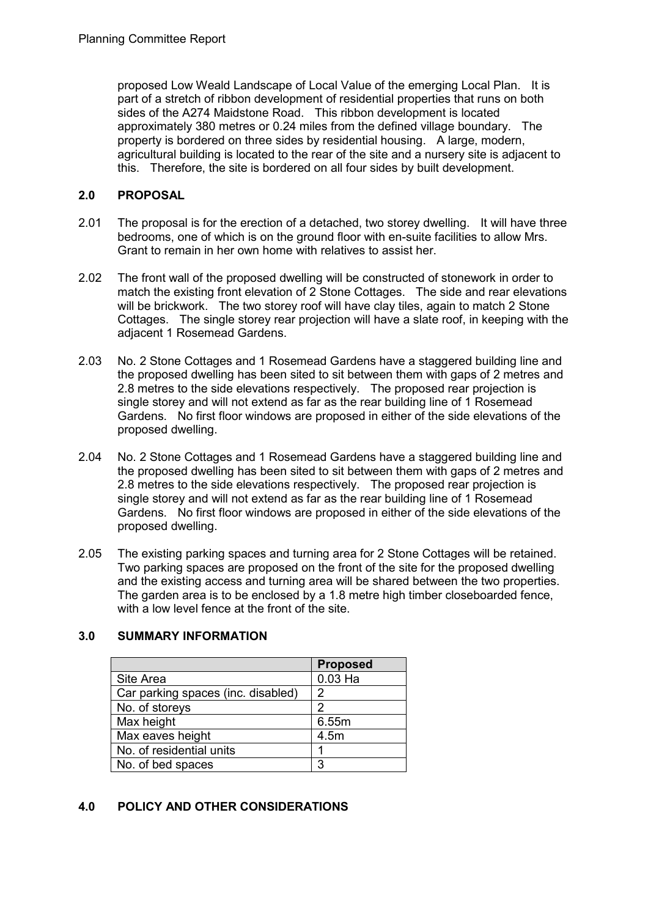proposed Low Weald Landscape of Local Value of the emerging Local Plan. It is part of a stretch of ribbon development of residential properties that runs on both sides of the A274 Maidstone Road. This ribbon development is located approximately 380 metres or 0.24 miles from the defined village boundary. The property is bordered on three sides by residential housing. A large, modern, agricultural building is located to the rear of the site and a nursery site is adjacent to this. Therefore, the site is bordered on all four sides by built development.

### **2.0 PROPOSAL**

- 2.01 The proposal is for the erection of a detached, two storey dwelling. It will have three bedrooms, one of which is on the ground floor with en-suite facilities to allow Mrs. Grant to remain in her own home with relatives to assist her.
- 2.02 The front wall of the proposed dwelling will be constructed of stonework in order to match the existing front elevation of 2 Stone Cottages. The side and rear elevations will be brickwork. The two storey roof will have clay tiles, again to match 2 Stone Cottages. The single storey rear projection will have a slate roof, in keeping with the adjacent 1 Rosemead Gardens.
- 2.03 No. 2 Stone Cottages and 1 Rosemead Gardens have a staggered building line and the proposed dwelling has been sited to sit between them with gaps of 2 metres and 2.8 metres to the side elevations respectively. The proposed rear projection is single storey and will not extend as far as the rear building line of 1 Rosemead Gardens. No first floor windows are proposed in either of the side elevations of the proposed dwelling.
- 2.04 No. 2 Stone Cottages and 1 Rosemead Gardens have a staggered building line and the proposed dwelling has been sited to sit between them with gaps of 2 metres and 2.8 metres to the side elevations respectively. The proposed rear projection is single storey and will not extend as far as the rear building line of 1 Rosemead Gardens. No first floor windows are proposed in either of the side elevations of the proposed dwelling.
- 2.05 The existing parking spaces and turning area for 2 Stone Cottages will be retained. Two parking spaces are proposed on the front of the site for the proposed dwelling and the existing access and turning area will be shared between the two properties. The garden area is to be enclosed by a 1.8 metre high timber closeboarded fence, with a low level fence at the front of the site.

|                                    | <b>Proposed</b> |
|------------------------------------|-----------------|
| Site Area                          | $0.03$ Ha       |
| Car parking spaces (inc. disabled) | 2               |
| No. of storeys                     | 2               |
| Max height                         | 6.55m           |
| Max eaves height                   | 4.5m            |
| No. of residential units           |                 |
| No. of bed spaces                  | 3               |

#### **3.0 SUMMARY INFORMATION**

# **4.0 POLICY AND OTHER CONSIDERATIONS**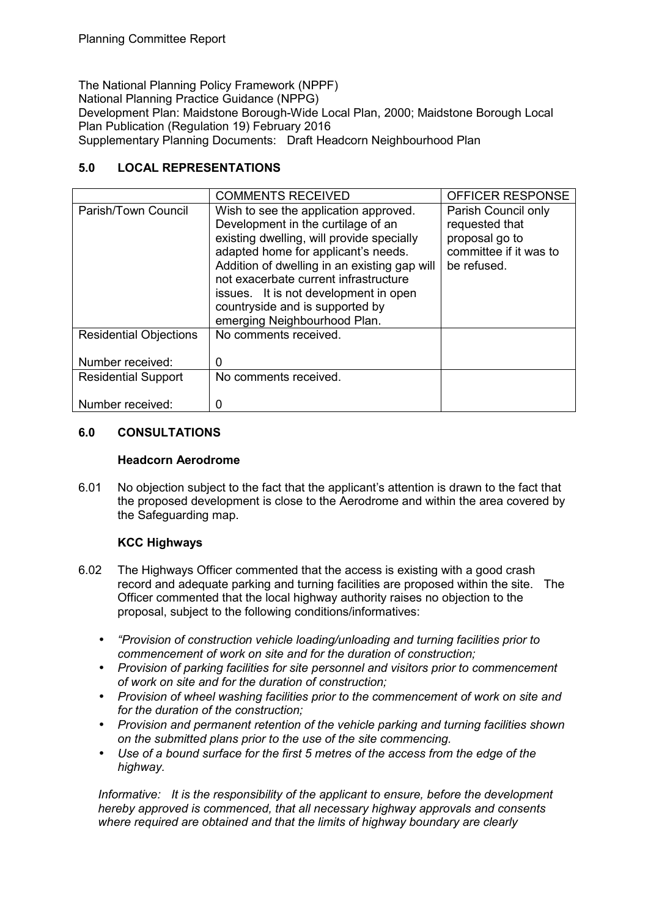The National Planning Policy Framework (NPPF) National Planning Practice Guidance (NPPG) Development Plan: Maidstone Borough-Wide Local Plan, 2000; Maidstone Borough Local Plan Publication (Regulation 19) February 2016 Supplementary Planning Documents: Draft Headcorn Neighbourhood Plan

### **5.0 LOCAL REPRESENTATIONS**

|                                                   | <b>COMMENTS RECEIVED</b>                                                                                                                                                                                                                                                                                                                                             | OFFICER RESPONSE                                                                                 |
|---------------------------------------------------|----------------------------------------------------------------------------------------------------------------------------------------------------------------------------------------------------------------------------------------------------------------------------------------------------------------------------------------------------------------------|--------------------------------------------------------------------------------------------------|
| Parish/Town Council                               | Wish to see the application approved.<br>Development in the curtilage of an<br>existing dwelling, will provide specially<br>adapted home for applicant's needs.<br>Addition of dwelling in an existing gap will<br>not exacerbate current infrastructure<br>issues. It is not development in open<br>countryside and is supported by<br>emerging Neighbourhood Plan. | Parish Council only<br>requested that<br>proposal go to<br>committee if it was to<br>be refused. |
| <b>Residential Objections</b><br>Number received: | No comments received.<br>0                                                                                                                                                                                                                                                                                                                                           |                                                                                                  |
|                                                   |                                                                                                                                                                                                                                                                                                                                                                      |                                                                                                  |
| <b>Residential Support</b>                        | No comments received.                                                                                                                                                                                                                                                                                                                                                |                                                                                                  |
| Number received:                                  | O                                                                                                                                                                                                                                                                                                                                                                    |                                                                                                  |

# **6.0 CONSULTATIONS**

#### **Headcorn Aerodrome**

6.01 No objection subject to the fact that the applicant's attention is drawn to the fact that the proposed development is close to the Aerodrome and within the area covered by the Safeguarding map.

# **KCC Highways**

- 6.02 The Highways Officer commented that the access is existing with a good crash record and adequate parking and turning facilities are proposed within the site. The Officer commented that the local highway authority raises no objection to the proposal, subject to the following conditions/informatives:
	- *"Provision of construction vehicle loading/unloading and turning facilities prior to commencement of work on site and for the duration of construction;*
	- *Provision of parking facilities for site personnel and visitors prior to commencement of work on site and for the duration of construction;*
	- *Provision of wheel washing facilities prior to the commencement of work on site and for the duration of the construction;*
	- *Provision and permanent retention of the vehicle parking and turning facilities shown on the submitted plans prior to the use of the site commencing.*
	- *Use of a bound surface for the first 5 metres of the access from the edge of the highway.*

*Informative: It is the responsibility of the applicant to ensure, before the development hereby approved is commenced, that all necessary highway approvals and consents where required are obtained and that the limits of highway boundary are clearly*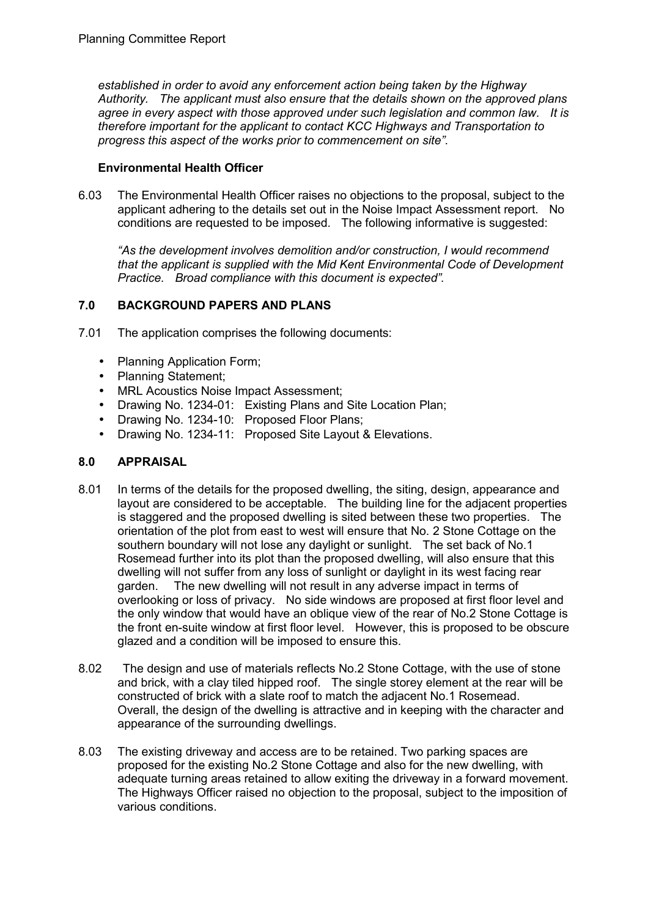*established in order to avoid any enforcement action being taken by the Highway Authority. The applicant must also ensure that the details shown on the approved plans agree in every aspect with those approved under such legislation and common law. It is therefore important for the applicant to contact KCC Highways and Transportation to progress this aspect of the works prior to commencement on site"*.

### **Environmental Health Officer**

6.03 The Environmental Health Officer raises no objections to the proposal, subject to the applicant adhering to the details set out in the Noise Impact Assessment report. No conditions are requested to be imposed. The following informative is suggested:

*"As the development involves demolition and/or construction, I would recommend that the applicant is supplied with the Mid Kent Environmental Code of Development Practice. Broad compliance with this document is expected".* 

# **7.0 BACKGROUND PAPERS AND PLANS**

- 7.01 The application comprises the following documents:
	- Planning Application Form;
	- Planning Statement;
	- MRL Acoustics Noise Impact Assessment;
	- Drawing No. 1234-01: Existing Plans and Site Location Plan;
	- Drawing No. 1234-10: Proposed Floor Plans;
	- Drawing No. 1234-11: Proposed Site Layout & Elevations.

#### **8.0 APPRAISAL**

- 8.01 In terms of the details for the proposed dwelling, the siting, design, appearance and layout are considered to be acceptable. The building line for the adjacent properties is staggered and the proposed dwelling is sited between these two properties. The orientation of the plot from east to west will ensure that No. 2 Stone Cottage on the southern boundary will not lose any daylight or sunlight. The set back of No.1 Rosemead further into its plot than the proposed dwelling, will also ensure that this dwelling will not suffer from any loss of sunlight or daylight in its west facing rear garden. The new dwelling will not result in any adverse impact in terms of overlooking or loss of privacy. No side windows are proposed at first floor level and the only window that would have an oblique view of the rear of No.2 Stone Cottage is the front en-suite window at first floor level. However, this is proposed to be obscure glazed and a condition will be imposed to ensure this.
- 8.02 The design and use of materials reflects No.2 Stone Cottage, with the use of stone and brick, with a clay tiled hipped roof. The single storey element at the rear will be constructed of brick with a slate roof to match the adjacent No.1 Rosemead. Overall, the design of the dwelling is attractive and in keeping with the character and appearance of the surrounding dwellings.
- 8.03 The existing driveway and access are to be retained. Two parking spaces are proposed for the existing No.2 Stone Cottage and also for the new dwelling, with adequate turning areas retained to allow exiting the driveway in a forward movement. The Highways Officer raised no objection to the proposal, subject to the imposition of various conditions.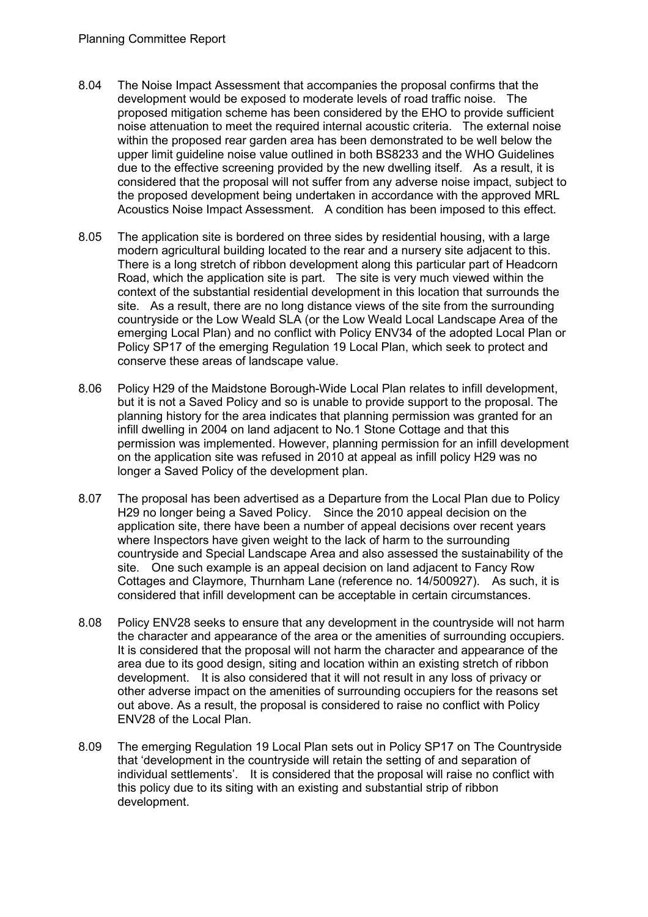- 8.04 The Noise Impact Assessment that accompanies the proposal confirms that the development would be exposed to moderate levels of road traffic noise. The proposed mitigation scheme has been considered by the EHO to provide sufficient noise attenuation to meet the required internal acoustic criteria. The external noise within the proposed rear garden area has been demonstrated to be well below the upper limit guideline noise value outlined in both BS8233 and the WHO Guidelines due to the effective screening provided by the new dwelling itself. As a result, it is considered that the proposal will not suffer from any adverse noise impact, subject to the proposed development being undertaken in accordance with the approved MRL Acoustics Noise Impact Assessment. A condition has been imposed to this effect.
- 8.05 The application site is bordered on three sides by residential housing, with a large modern agricultural building located to the rear and a nursery site adjacent to this. There is a long stretch of ribbon development along this particular part of Headcorn Road, which the application site is part. The site is very much viewed within the context of the substantial residential development in this location that surrounds the site. As a result, there are no long distance views of the site from the surrounding countryside or the Low Weald SLA (or the Low Weald Local Landscape Area of the emerging Local Plan) and no conflict with Policy ENV34 of the adopted Local Plan or Policy SP17 of the emerging Regulation 19 Local Plan, which seek to protect and conserve these areas of landscape value.
- 8.06 Policy H29 of the Maidstone Borough-Wide Local Plan relates to infill development, but it is not a Saved Policy and so is unable to provide support to the proposal. The planning history for the area indicates that planning permission was granted for an infill dwelling in 2004 on land adjacent to No.1 Stone Cottage and that this permission was implemented. However, planning permission for an infill development on the application site was refused in 2010 at appeal as infill policy H29 was no longer a Saved Policy of the development plan.
- 8.07 The proposal has been advertised as a Departure from the Local Plan due to Policy H29 no longer being a Saved Policy. Since the 2010 appeal decision on the application site, there have been a number of appeal decisions over recent years where Inspectors have given weight to the lack of harm to the surrounding countryside and Special Landscape Area and also assessed the sustainability of the site. One such example is an appeal decision on land adjacent to Fancy Row Cottages and Claymore, Thurnham Lane (reference no. 14/500927). As such, it is considered that infill development can be acceptable in certain circumstances.
- 8.08 Policy ENV28 seeks to ensure that any development in the countryside will not harm the character and appearance of the area or the amenities of surrounding occupiers. It is considered that the proposal will not harm the character and appearance of the area due to its good design, siting and location within an existing stretch of ribbon development. It is also considered that it will not result in any loss of privacy or other adverse impact on the amenities of surrounding occupiers for the reasons set out above. As a result, the proposal is considered to raise no conflict with Policy ENV28 of the Local Plan.
- 8.09 The emerging Regulation 19 Local Plan sets out in Policy SP17 on The Countryside that 'development in the countryside will retain the setting of and separation of individual settlements'. It is considered that the proposal will raise no conflict with this policy due to its siting with an existing and substantial strip of ribbon development.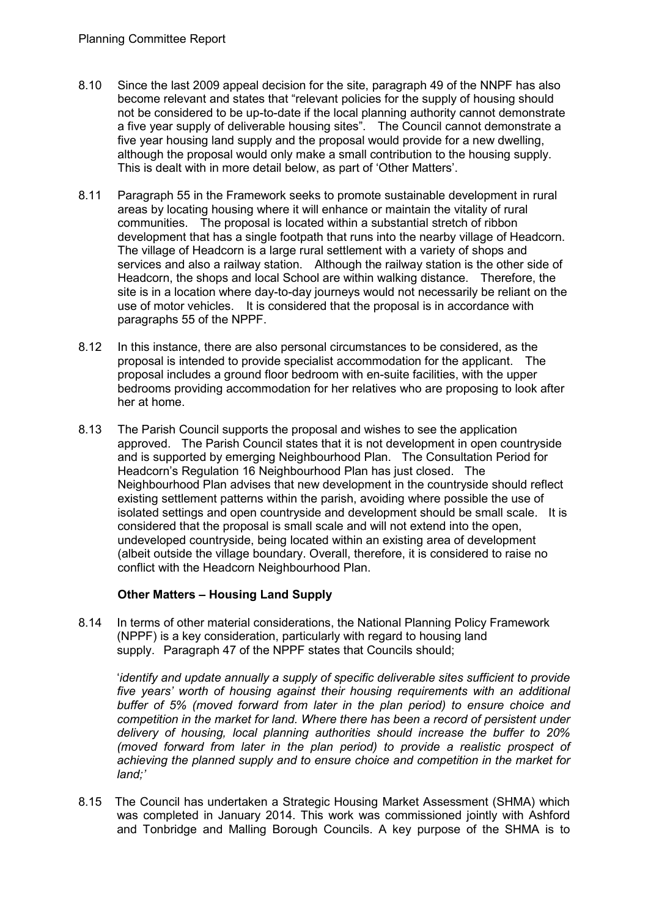- 8.10 Since the last 2009 appeal decision for the site, paragraph 49 of the NNPF has also become relevant and states that "relevant policies for the supply of housing should not be considered to be up-to-date if the local planning authority cannot demonstrate a five year supply of deliverable housing sites". The Council cannot demonstrate a five year housing land supply and the proposal would provide for a new dwelling, although the proposal would only make a small contribution to the housing supply. This is dealt with in more detail below, as part of 'Other Matters'.
- 8.11 Paragraph 55 in the Framework seeks to promote sustainable development in rural areas by locating housing where it will enhance or maintain the vitality of rural communities. The proposal is located within a substantial stretch of ribbon development that has a single footpath that runs into the nearby village of Headcorn. The village of Headcorn is a large rural settlement with a variety of shops and services and also a railway station. Although the railway station is the other side of Headcorn, the shops and local School are within walking distance. Therefore, the site is in a location where day-to-day journeys would not necessarily be reliant on the use of motor vehicles. It is considered that the proposal is in accordance with paragraphs 55 of the NPPF.
- 8.12 In this instance, there are also personal circumstances to be considered, as the proposal is intended to provide specialist accommodation for the applicant. The proposal includes a ground floor bedroom with en-suite facilities, with the upper bedrooms providing accommodation for her relatives who are proposing to look after her at home.
- 8.13 The Parish Council supports the proposal and wishes to see the application approved. The Parish Council states that it is not development in open countryside and is supported by emerging Neighbourhood Plan. The Consultation Period for Headcorn's Regulation 16 Neighbourhood Plan has just closed. The Neighbourhood Plan advises that new development in the countryside should reflect existing settlement patterns within the parish, avoiding where possible the use of isolated settings and open countryside and development should be small scale. It is considered that the proposal is small scale and will not extend into the open, undeveloped countryside, being located within an existing area of development (albeit outside the village boundary. Overall, therefore, it is considered to raise no conflict with the Headcorn Neighbourhood Plan.

# **Other Matters – Housing Land Supply**

8.14 In terms of other material considerations, the National Planning Policy Framework (NPPF) is a key consideration, particularly with regard to housing land supply. Paragraph 47 of the NPPF states that Councils should:

'*identify and update annually a supply of specific deliverable sites sufficient to provide five years' worth of housing against their housing requirements with an additional buffer of 5% (moved forward from later in the plan period) to ensure choice and competition in the market for land. Where there has been a record of persistent under delivery of housing, local planning authorities should increase the buffer to 20% (moved forward from later in the plan period) to provide a realistic prospect of achieving the planned supply and to ensure choice and competition in the market for land;'*

8.15 The Council has undertaken a Strategic Housing Market Assessment (SHMA) which was completed in January 2014. This work was commissioned jointly with Ashford and Tonbridge and Malling Borough Councils. A key purpose of the SHMA is to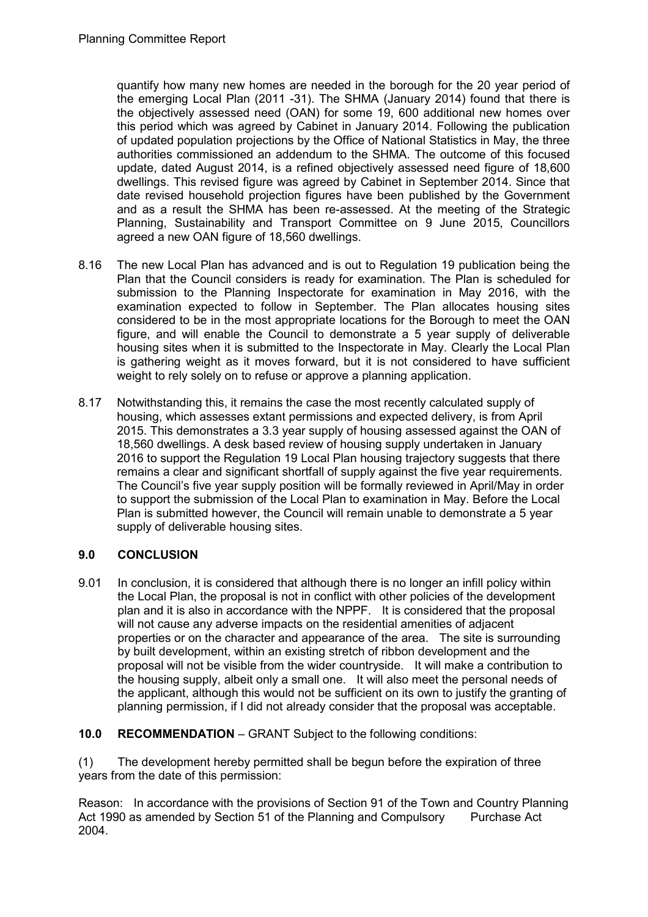quantify how many new homes are needed in the borough for the 20 year period of the emerging Local Plan (2011 -31). The SHMA (January 2014) found that there is the objectively assessed need (OAN) for some 19, 600 additional new homes over this period which was agreed by Cabinet in January 2014. Following the publication of updated population projections by the Office of National Statistics in May, the three authorities commissioned an addendum to the SHMA. The outcome of this focused update, dated August 2014, is a refined objectively assessed need figure of 18,600 dwellings. This revised figure was agreed by Cabinet in September 2014. Since that date revised household projection figures have been published by the Government and as a result the SHMA has been re-assessed. At the meeting of the Strategic Planning, Sustainability and Transport Committee on 9 June 2015, Councillors agreed a new OAN figure of 18,560 dwellings.

- 8.16 The new Local Plan has advanced and is out to Regulation 19 publication being the Plan that the Council considers is ready for examination. The Plan is scheduled for submission to the Planning Inspectorate for examination in May 2016, with the examination expected to follow in September. The Plan allocates housing sites considered to be in the most appropriate locations for the Borough to meet the OAN figure, and will enable the Council to demonstrate a 5 year supply of deliverable housing sites when it is submitted to the Inspectorate in May. Clearly the Local Plan is gathering weight as it moves forward, but it is not considered to have sufficient weight to rely solely on to refuse or approve a planning application.
- 8.17 Notwithstanding this, it remains the case the most recently calculated supply of housing, which assesses extant permissions and expected delivery, is from April 2015. This demonstrates a 3.3 year supply of housing assessed against the OAN of 18,560 dwellings. A desk based review of housing supply undertaken in January 2016 to support the Regulation 19 Local Plan housing trajectory suggests that there remains a clear and significant shortfall of supply against the five year requirements. The Council's five year supply position will be formally reviewed in April/May in order to support the submission of the Local Plan to examination in May. Before the Local Plan is submitted however, the Council will remain unable to demonstrate a 5 year supply of deliverable housing sites.

# **9.0 CONCLUSION**

9.01 In conclusion, it is considered that although there is no longer an infill policy within the Local Plan, the proposal is not in conflict with other policies of the development plan and it is also in accordance with the NPPF. It is considered that the proposal will not cause any adverse impacts on the residential amenities of adjacent properties or on the character and appearance of the area. The site is surrounding by built development, within an existing stretch of ribbon development and the proposal will not be visible from the wider countryside. It will make a contribution to the housing supply, albeit only a small one. It will also meet the personal needs of the applicant, although this would not be sufficient on its own to justify the granting of planning permission, if I did not already consider that the proposal was acceptable.

# **10.0 RECOMMENDATION** – GRANT Subject to the following conditions:

(1) The development hereby permitted shall be begun before the expiration of three years from the date of this permission:

Reason: In accordance with the provisions of Section 91 of the Town and Country Planning Act 1990 as amended by Section 51 of the Planning and Compulsory Purchase Act 2004.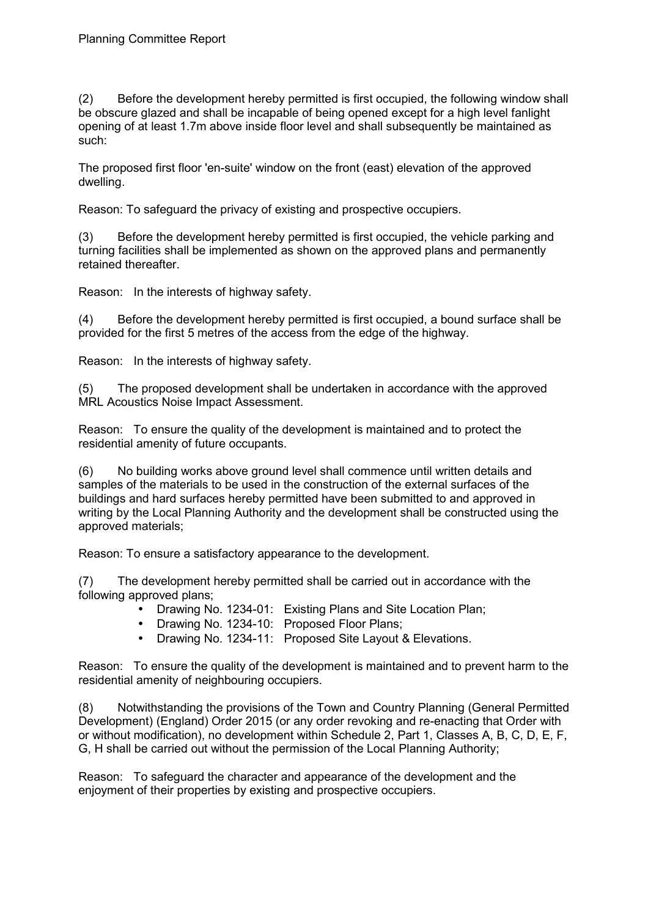(2) Before the development hereby permitted is first occupied, the following window shall be obscure glazed and shall be incapable of being opened except for a high level fanlight opening of at least 1.7m above inside floor level and shall subsequently be maintained as such:

The proposed first floor 'en-suite' window on the front (east) elevation of the approved dwelling.

Reason: To safeguard the privacy of existing and prospective occupiers.

(3) Before the development hereby permitted is first occupied, the vehicle parking and turning facilities shall be implemented as shown on the approved plans and permanently retained thereafter.

Reason: In the interests of highway safety.

(4) Before the development hereby permitted is first occupied, a bound surface shall be provided for the first 5 metres of the access from the edge of the highway.

Reason: In the interests of highway safety.

(5) The proposed development shall be undertaken in accordance with the approved MRL Acoustics Noise Impact Assessment.

Reason: To ensure the quality of the development is maintained and to protect the residential amenity of future occupants.

(6) No building works above ground level shall commence until written details and samples of the materials to be used in the construction of the external surfaces of the buildings and hard surfaces hereby permitted have been submitted to and approved in writing by the Local Planning Authority and the development shall be constructed using the approved materials;

Reason: To ensure a satisfactory appearance to the development.

(7) The development hereby permitted shall be carried out in accordance with the following approved plans;

- Drawing No. 1234-01: Existing Plans and Site Location Plan;
	- Drawing No. 1234-10: Proposed Floor Plans;
- Drawing No. 1234-11: Proposed Site Layout & Elevations.

Reason: To ensure the quality of the development is maintained and to prevent harm to the residential amenity of neighbouring occupiers.

(8) Notwithstanding the provisions of the Town and Country Planning (General Permitted Development) (England) Order 2015 (or any order revoking and re-enacting that Order with or without modification), no development within Schedule 2, Part 1, Classes A, B, C, D, E, F, G, H shall be carried out without the permission of the Local Planning Authority;

Reason: To safeguard the character and appearance of the development and the enjoyment of their properties by existing and prospective occupiers.